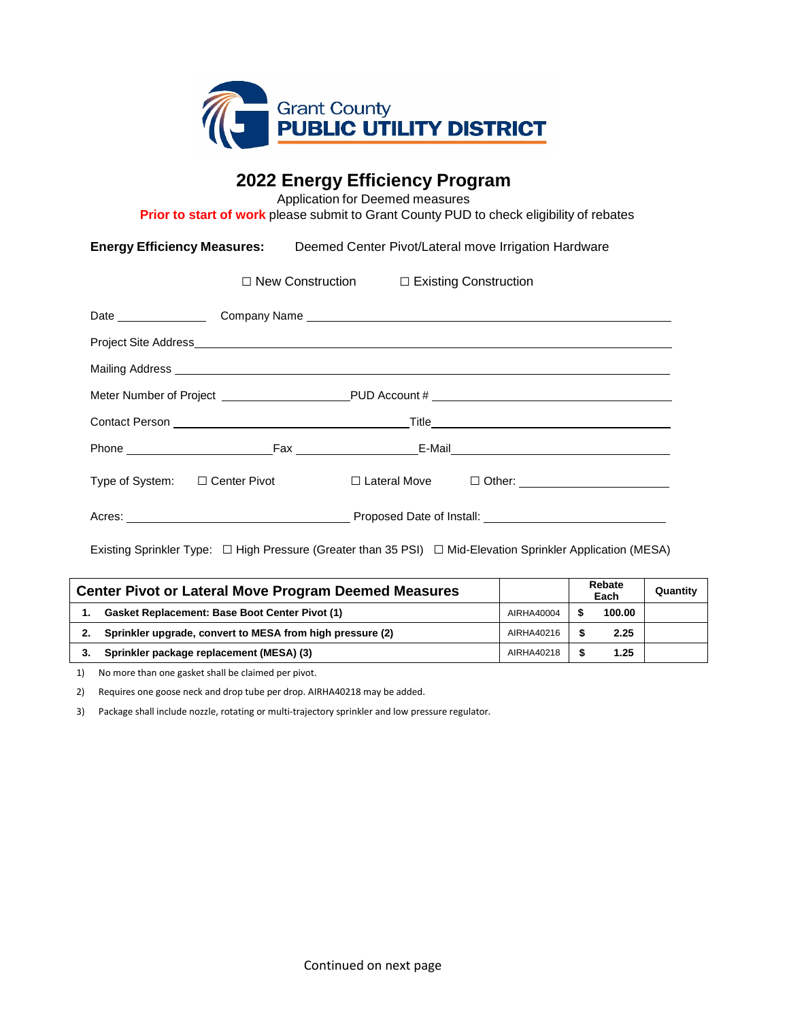

# **2022 Energy Efficiency Program**

Application for Deemed measures

**Prior to start of work** please submit to Grant County PUD to check eligibility of rebates

**Energy Efficiency Measures:** Deemed Center Pivot/Lateral move Irrigation Hardware

□ New Construction □ Existing Construction

| Mailing Address Management of the Contract of the Contract of the Contract of the Contract of the Contract of the Contract of the Contract of the Contract of the Contract of the Contract of the Contract of the Contract of |                                     |  |  |  |  |  |  |
|-------------------------------------------------------------------------------------------------------------------------------------------------------------------------------------------------------------------------------|-------------------------------------|--|--|--|--|--|--|
|                                                                                                                                                                                                                               |                                     |  |  |  |  |  |  |
|                                                                                                                                                                                                                               |                                     |  |  |  |  |  |  |
|                                                                                                                                                                                                                               |                                     |  |  |  |  |  |  |
|                                                                                                                                                                                                                               | Type of System: $\Box$ Center Pivot |  |  |  |  |  |  |
|                                                                                                                                                                                                                               |                                     |  |  |  |  |  |  |

Existing Sprinkler Type: □ High Pressure (Greater than 35 PSI) □ Mid-Elevation Sprinkler Application (MESA)

| <b>Center Pivot or Lateral Move Program Deemed Measures</b> |                                                           |            | Rebate<br>Each |        | Quantity |
|-------------------------------------------------------------|-----------------------------------------------------------|------------|----------------|--------|----------|
|                                                             | <b>Gasket Replacement: Base Boot Center Pivot (1)</b>     | AIRHA40004 |                | 100.00 |          |
| 2.                                                          | Sprinkler upgrade, convert to MESA from high pressure (2) | AIRHA40216 |                | 2.25   |          |
| 3.                                                          | Sprinkler package replacement (MESA) (3)                  | AIRHA40218 |                | 1.25   |          |

1) No more than one gasket shall be claimed per pivot.

2) Requires one goose neck and drop tube per drop. AIRHA40218 may be added.

3) Package shall include nozzle, rotating or multi-trajectory sprinkler and low pressure regulator.